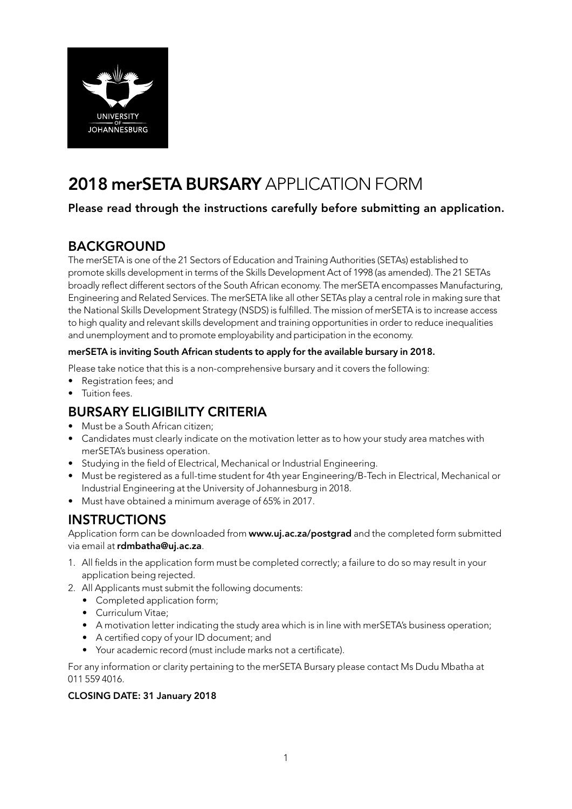

# 2018 merSETA BURSARY APPLICATION FORM

### Please read through the instructions carefully before submitting an application.

## BACKGROUND

The merSETA is one of the 21 Sectors of Education and Training Authorities (SETAs) established to promote skills development in terms of the Skills Development Act of 1998 (as amended). The 21 SETAs broadly reflect different sectors of the South African economy. The merSETA encompasses Manufacturing, Engineering and Related Services. The merSETA like all other SETAs play a central role in making sure that the National Skills Development Strategy (NSDS) is fulfilled. The mission of merSETA is to increase access to high quality and relevant skills development and training opportunities in order to reduce inequalities and unemployment and to promote employability and participation in the economy.

#### merSETA is inviting South African students to apply for the available bursary in 2018.

Please take notice that this is a non-comprehensive bursary and it covers the following:

- Registration fees; and
- Tuition fees.

## BURSARY ELIGIBILITY CRITERIA

- Must be a South African citizen;
- Candidates must clearly indicate on the motivation letter as to how your study area matches with merSETA's business operation.
- Studying in the field of Electrical, Mechanical or Industrial Engineering.
- Must be registered as a full-time student for 4th year Engineering/B-Tech in Electrical, Mechanical or Industrial Engineering at the University of Johannesburg in 2018.
- Must have obtained a minimum average of 65% in 2017.

### **INSTRUCTIONS**

Application form can be downloaded from www.uj.ac.za/postgrad and the completed form submitted via email at rdmbatha@uj.ac.za.

- 1. All fields in the application form must be completed correctly; a failure to do so may result in your application being rejected.
- 2. All Applicants must submit the following documents:
	- Completed application form;
		- Curriculum Vitae;
		- A motivation letter indicating the study area which is in line with merSETA's business operation;
		- A certified copy of your ID document; and
	- Your academic record (must include marks not a certificate).

For any information or clarity pertaining to the merSETA Bursary please contact Ms Dudu Mbatha at 011 559 4016.

### CLOSING DATE: 31 January 2018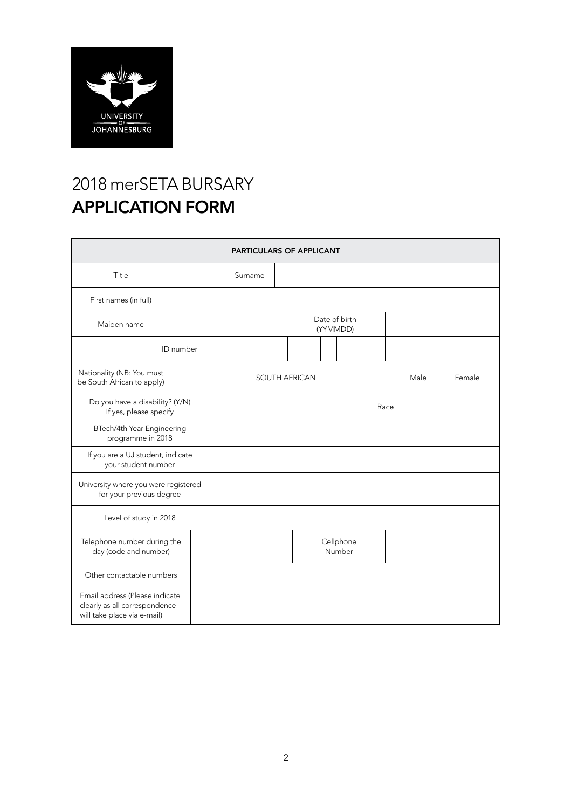

# 2018 merSETA BURSARY APPLICATION FORM

| PARTICULARS OF APPLICANT                                                                       |  |                      |                     |  |  |  |                           |      |  |        |  |  |  |  |  |  |
|------------------------------------------------------------------------------------------------|--|----------------------|---------------------|--|--|--|---------------------------|------|--|--------|--|--|--|--|--|--|
| Title                                                                                          |  |                      | Surname             |  |  |  |                           |      |  |        |  |  |  |  |  |  |
| First names (in full)                                                                          |  |                      |                     |  |  |  |                           |      |  |        |  |  |  |  |  |  |
| Maiden name                                                                                    |  |                      |                     |  |  |  | Date of birth<br>(YYMMDD) |      |  |        |  |  |  |  |  |  |
| ID number                                                                                      |  |                      |                     |  |  |  |                           |      |  |        |  |  |  |  |  |  |
| Nationality (NB: You must<br>be South African to apply)                                        |  | <b>SOUTH AFRICAN</b> |                     |  |  |  |                           | Male |  | Female |  |  |  |  |  |  |
| Do you have a disability? (Y/N)<br>If yes, please specify                                      |  |                      | Race                |  |  |  |                           |      |  |        |  |  |  |  |  |  |
| BTech/4th Year Engineering<br>programme in 2018                                                |  |                      |                     |  |  |  |                           |      |  |        |  |  |  |  |  |  |
| If you are a UJ student, indicate<br>your student number                                       |  |                      |                     |  |  |  |                           |      |  |        |  |  |  |  |  |  |
| University where you were registered<br>for your previous degree                               |  |                      |                     |  |  |  |                           |      |  |        |  |  |  |  |  |  |
| Level of study in 2018                                                                         |  |                      |                     |  |  |  |                           |      |  |        |  |  |  |  |  |  |
| Telephone number during the<br>day (code and number)                                           |  |                      | Cellphone<br>Number |  |  |  |                           |      |  |        |  |  |  |  |  |  |
| Other contactable numbers                                                                      |  |                      |                     |  |  |  |                           |      |  |        |  |  |  |  |  |  |
| Email address (Please indicate<br>clearly as all correspondence<br>will take place via e-mail) |  |                      |                     |  |  |  |                           |      |  |        |  |  |  |  |  |  |